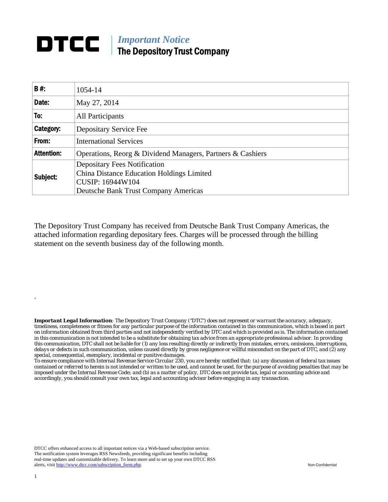## **DTCC** | *Important Notice* The Depository Trust Company

| <b>B#:</b>        | 1054-14                                                                                                                                             |  |  |  |  |  |
|-------------------|-----------------------------------------------------------------------------------------------------------------------------------------------------|--|--|--|--|--|
| Date:             | May 27, 2014                                                                                                                                        |  |  |  |  |  |
| To:               | All Participants                                                                                                                                    |  |  |  |  |  |
| Category:         | Depositary Service Fee                                                                                                                              |  |  |  |  |  |
| From:             | <b>International Services</b>                                                                                                                       |  |  |  |  |  |
| <b>Attention:</b> | Operations, Reorg & Dividend Managers, Partners & Cashiers                                                                                          |  |  |  |  |  |
| Subject:          | <b>Depositary Fees Notification</b><br>China Distance Education Holdings Limited<br>CUSIP: 16944W104<br><b>Deutsche Bank Trust Company Americas</b> |  |  |  |  |  |

The Depository Trust Company has received from Deutsche Bank Trust Company Americas, the attached information regarding depositary fees. Charges will be processed through the billing statement on the seventh business day of the following month.

*Important Legal Information: The Depository Trust Company ("DTC") does not represent or warrant the accuracy, adequacy, timeliness, completeness or fitness for any particular purpose of the information contained in this communication, which is based in part on information obtained from third parties and not independently verified by DTC and which is provided as is. The information contained in this communication is not intended to be a substitute for obtaining tax advice from an appropriate professional advisor. In providing this communication, DTC shall not be liable for (1) any loss resulting directly or indirectly from mistakes, errors, omissions, interruptions, delays or defects in such communication, unless caused directly by gross negligence or willful misconduct on the part of DTC, and (2) any special, consequential, exemplary, incidental or punitive damages.* 

*To ensure compliance with Internal Revenue Service Circular 230, you are hereby notified that: (a) any discussion of federal tax issues contained or referred to herein is not intended or written to be used, and cannot be used, for the purpose of avoiding penalties that may be imposed under the Internal Revenue Code; and (b) as a matter of policy, DTC does not provide tax, legal or accounting advice and accordingly, you should consult your own tax, legal and accounting advisor before engaging in any transaction.*

DTCC offers enhanced access to all important notices via a Web-based subscription service. The notification system leverages RSS Newsfeeds, providing significant benefits including real-time updates and customizable delivery. To learn more and to set up your own DTCC RSS alerts, visit http://www.dtcc.com/subscription\_form.php. Non-Confidential

.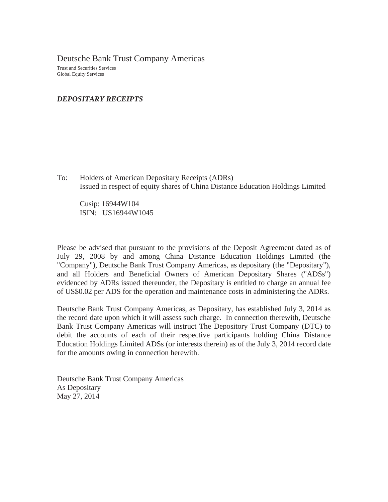Deutsche Bank Trust Company Americas Trust and Securities Services Global Equity Services

## *DEPOSITARY RECEIPTS*

To: Holders of American Depositary Receipts (ADRs) Issued in respect of equity shares of China Distance Education Holdings Limited

Cusip: 16944W104 ISIN: US16944W1045

Please be advised that pursuant to the provisions of the Deposit Agreement dated as of July 29, 2008 by and among China Distance Education Holdings Limited (the "Company"), Deutsche Bank Trust Company Americas, as depositary (the "Depositary"), and all Holders and Beneficial Owners of American Depositary Shares ("ADSs") evidenced by ADRs issued thereunder, the Depositary is entitled to charge an annual fee of US\$0.02 per ADS for the operation and maintenance costs in administering the ADRs.

Deutsche Bank Trust Company Americas, as Depositary, has established July 3, 2014 as the record date upon which it will assess such charge. In connection therewith, Deutsche Bank Trust Company Americas will instruct The Depository Trust Company (DTC) to debit the accounts of each of their respective participants holding China Distance Education Holdings Limited ADSs (or interests therein) as of the July 3, 2014 record date for the amounts owing in connection herewith.

Deutsche Bank Trust Company Americas As Depositary May 27, 2014